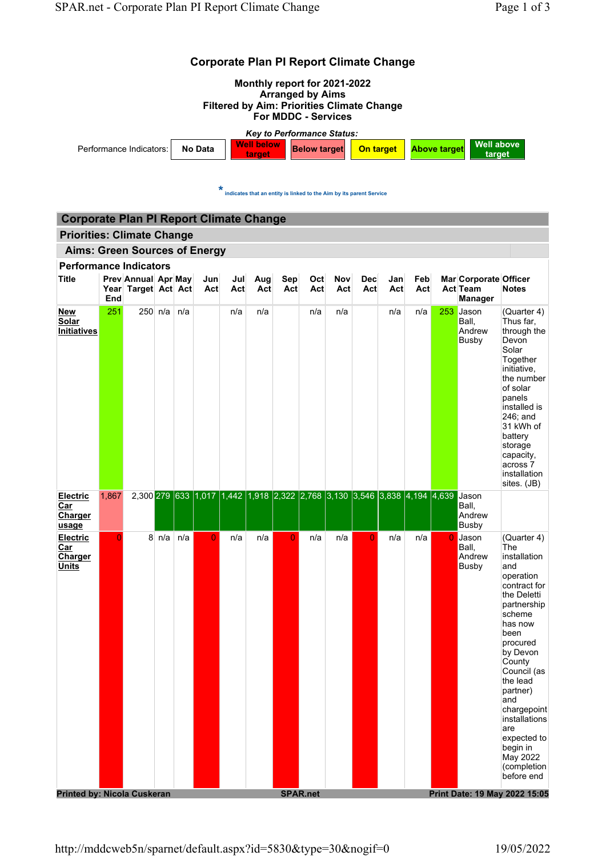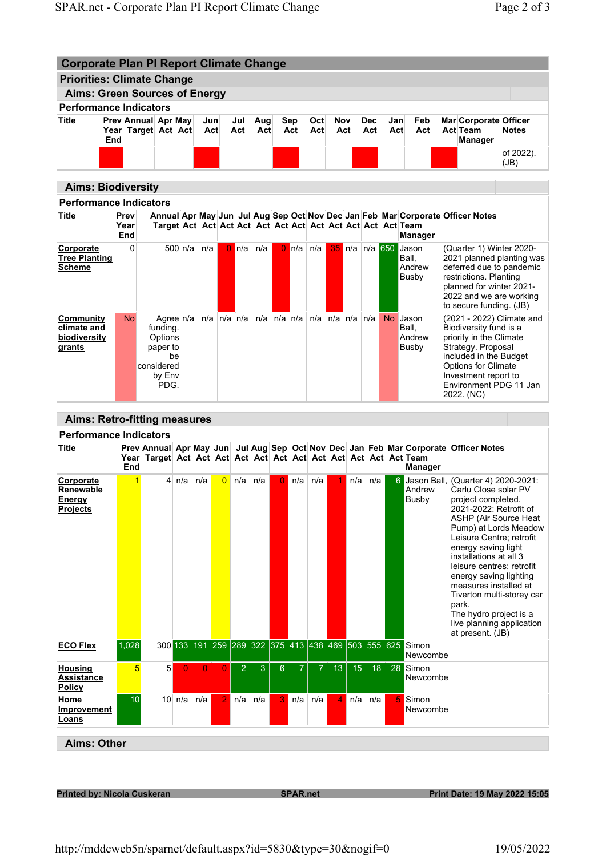| <b>Corporate Plan PI Report Climate Change</b>            |                           |                                            |                                                                                    |         |            |                   |            |            |                         |                    |            |                         |  |                   |            |                                                  |                                                                                                                                                                                                                       |                           |
|-----------------------------------------------------------|---------------------------|--------------------------------------------|------------------------------------------------------------------------------------|---------|------------|-------------------|------------|------------|-------------------------|--------------------|------------|-------------------------|--|-------------------|------------|--------------------------------------------------|-----------------------------------------------------------------------------------------------------------------------------------------------------------------------------------------------------------------------|---------------------------|
| <b>Priorities: Climate Change</b>                         |                           |                                            |                                                                                    |         |            |                   |            |            |                         |                    |            |                         |  |                   |            |                                                  |                                                                                                                                                                                                                       |                           |
| <b>Aims: Green Sources of Energy</b>                      |                           |                                            |                                                                                    |         |            |                   |            |            |                         |                    |            |                         |  |                   |            |                                                  |                                                                                                                                                                                                                       |                           |
| <b>Performance Indicators</b>                             |                           |                                            |                                                                                    |         |            |                   |            |            |                         |                    |            |                         |  |                   |            |                                                  |                                                                                                                                                                                                                       |                           |
| <b>Title</b>                                              | End                       | Prev Annual Apr May<br>Year Target Act Act |                                                                                    |         | Jun<br>Act |                   | Jul<br>Act | Aug<br>Act |                         | <b>Sep</b><br>Act  | Oct<br>Act | Nov<br>Act              |  | <b>Dec</b><br>Act | Jan<br>Act | Feb<br>Act                                       | Mar Corporate Officer<br><b>Act Team</b><br>Manager                                                                                                                                                                   | <b>Notes</b>              |
|                                                           |                           |                                            |                                                                                    |         |            |                   |            |            |                         |                    |            |                         |  |                   |            |                                                  |                                                                                                                                                                                                                       | of 2022).<br>(JB)         |
|                                                           | <b>Aims: Biodiversity</b> |                                            |                                                                                    |         |            |                   |            |            |                         |                    |            |                         |  |                   |            |                                                  |                                                                                                                                                                                                                       |                           |
| <b>Performance Indicators</b>                             |                           |                                            |                                                                                    |         |            |                   |            |            |                         |                    |            |                         |  |                   |            |                                                  |                                                                                                                                                                                                                       |                           |
| <b>Title</b>                                              |                           | Prev<br>Year<br>End                        |                                                                                    |         |            |                   |            |            |                         |                    |            |                         |  |                   |            | <b>Manager</b>                                   | Annual Apr May Jun Jul Aug Sep Oct Nov Dec Jan Feb Mar Corporate Officer Notes                                                                                                                                        |                           |
| Corporate<br><b>Tree Planting</b><br><b>Scheme</b>        |                           | $\Omega$                                   |                                                                                    | 500 n/a | n/a        |                   | $0 \ln/a$  | n/a        |                         | $\overline{0}$ n/a | n/a        |                         |  |                   |            | 35 n/a n/a 650 Jason<br>Ball.<br>Andrew<br>Busby | (Quarter 1) Winter 2020-<br>deferred due to pandemic<br>restrictions. Planting<br>planned for winter 2021-<br>2022 and we are working<br>to secure funding. (JB)                                                      | 2021 planned planting was |
| <b>Community</b><br>climate and<br>biodiversity<br>grants |                           | <b>No</b>                                  | Agree n/a<br>funding.<br>Options<br>paper to<br>be<br>considered<br>by Env<br>PDG. |         |            | $n/a$ $n/a$ $n/a$ |            |            | $n/a \mid n/a \mid n/a$ |                    |            | $n/a$ $n/a$ $n/a$ $n/a$ |  |                   |            | No Jason<br>Ball.<br>Andrew<br>Busby             | (2021 - 2022) Climate and<br>Biodiversity fund is a<br>priority in the Climate<br>Strategy. Proposal<br>included in the Budget<br>Options for Climate<br>Investment report to<br>Environment PDG 11 Jan<br>2022. (NC) |                           |
|                                                           |                           |                                            |                                                                                    |         |            |                   |            |            |                         |                    |            |                         |  |                   |            |                                                  |                                                                                                                                                                                                                       |                           |
| <b>Aims: Retro-fitting measures</b>                       |                           |                                            |                                                                                    |         |            |                   |            |            |                         |                    |            |                         |  |                   |            |                                                  |                                                                                                                                                                                                                       |                           |
| <b>Performance Indicators</b>                             |                           |                                            |                                                                                    |         |            |                   |            |            |                         |                    |            |                         |  |                   |            |                                                  |                                                                                                                                                                                                                       |                           |

| <b>Title</b>                                                      | End             |   |          |                                                     |                |                |     |                |                |     |                |                 |                 |    | <b>Manager</b>    | Prev Annual Apr May Jun Jul Aug Sep Oct Nov Dec Jan Feb Mar Corporate Officer Notes                                                                                                                                                                                                                                                                                                                                                               |
|-------------------------------------------------------------------|-----------------|---|----------|-----------------------------------------------------|----------------|----------------|-----|----------------|----------------|-----|----------------|-----------------|-----------------|----|-------------------|---------------------------------------------------------------------------------------------------------------------------------------------------------------------------------------------------------------------------------------------------------------------------------------------------------------------------------------------------------------------------------------------------------------------------------------------------|
| <b>Corporate</b><br>Renewable<br><b>Energy</b><br><b>Projects</b> | $\overline{1}$  |   | 4 $n/a$  | n/a                                                 | $\overline{0}$ | n/a            | n/a | $\Omega$       | n/a            | n/a |                | n/a             | n/a             |    | Andrew<br>Busby   | Jason Ball, (Quarter 4) 2020-2021:<br>Carlu Close solar PV<br>project completed.<br>2021-2022: Retrofit of<br><b>ASHP (Air Source Heat</b><br>Pump) at Lords Meadow<br>Leisure Centre: retrofit<br>energy saving light<br>installations at all 3<br>leisure centres; retrofit<br>energy saving lighting<br>measures installed at<br>Tiverton multi-storey car<br>park.<br>The hydro project is a<br>live planning application<br>at present. (JB) |
| <b>ECO Flex</b>                                                   | 1,028           |   |          | 300 133 191 259 289 322 375 413 438 469 503 555 625 |                |                |     |                |                |     |                |                 |                 |    | Simon<br>Newcombe |                                                                                                                                                                                                                                                                                                                                                                                                                                                   |
| <b>Housing</b><br><b>Assistance</b><br><b>Policy</b>              | $5\overline{5}$ | 5 | $\Omega$ | $\Omega$                                            | $\Omega$       | $\overline{2}$ | 3   | 6 <sup>°</sup> | $\overline{7}$ | 7   | 13             | 15 <sup>°</sup> | 18 <sup>°</sup> | 28 | Simon<br>Newcombe |                                                                                                                                                                                                                                                                                                                                                                                                                                                   |
| Home<br><b>Improvement</b><br>Loans                               | 10              |   | 10 n/a   | n/a                                                 | $\overline{2}$ | n/a            | n/a | 3 <sup>°</sup> | n/a            | n/a | $\overline{4}$ | n/a             | n/a             | 5  | Simon<br>Newcombe |                                                                                                                                                                                                                                                                                                                                                                                                                                                   |

Aims: Other

Printed by: Nicola Cuskeran National SPAR.net SPAR.net Print Date: 19 May 2022 15:05